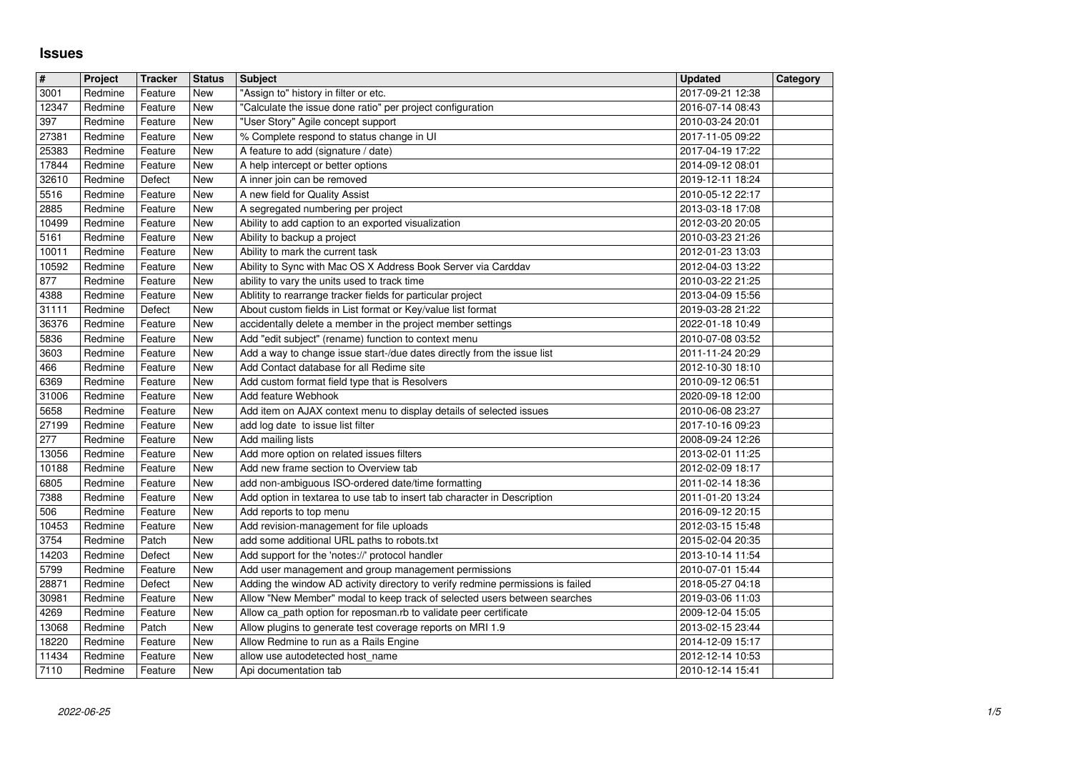## **Issues**

| $\sqrt{t}$     | Project            | <b>Tracker</b>     | <b>Status</b>            | <b>Subject</b>                                                                                                                                 | <b>Updated</b>                       | Category |
|----------------|--------------------|--------------------|--------------------------|------------------------------------------------------------------------------------------------------------------------------------------------|--------------------------------------|----------|
| 3001           | Redmine            | Feature            | New                      | "Assign to" history in filter or etc.                                                                                                          | 2017-09-21 12:38                     |          |
| 12347<br>397   | Redmine<br>Redmine | Feature<br>Feature | <b>New</b><br>New        | "Calculate the issue done ratio" per project configuration<br>"User Story" Agile concept support                                               | 2016-07-14 08:43<br>2010-03-24 20:01 |          |
| 27381          | Redmine            | Feature            | <b>New</b>               | % Complete respond to status change in UI                                                                                                      | 2017-11-05 09:22                     |          |
| 25383          | Redmine            | Feature            | <b>New</b>               | A feature to add (signature / date)                                                                                                            | 2017-04-19 17:22                     |          |
| 17844<br>32610 | Redmine<br>Redmine | Feature<br>Defect  | <b>New</b><br><b>New</b> | A help intercept or better options<br>A inner join can be removed                                                                              | 2014-09-12 08:01<br>2019-12-11 18:24 |          |
| 5516           | Redmine            | Feature            | New                      | A new field for Quality Assist                                                                                                                 | 2010-05-12 22:17                     |          |
| 2885           | Redmine            | Feature            | New                      | A segregated numbering per project                                                                                                             | 2013-03-18 17:08                     |          |
| 10499<br>5161  | Redmine<br>Redmine | Feature<br>Feature | New<br>New               | Ability to add caption to an exported visualization<br>Ability to backup a project                                                             | 2012-03-20 20:05<br>2010-03-23 21:26 |          |
| 10011          | Redmine            | Feature            | New                      | Ability to mark the current task                                                                                                               | 2012-01-23 13:03                     |          |
| 10592          | Redmine            | Feature            | New                      | Ability to Sync with Mac OS X Address Book Server via Carddav                                                                                  | 2012-04-03 13:22                     |          |
| 877<br>4388    | Redmine<br>Redmine | Feature<br>Feature | <b>New</b><br>New        | ability to vary the units used to track time<br>Ablitity to rearrange tracker fields for particular project                                    | 2010-03-22 21:25<br>2013-04-09 15:56 |          |
| 31111          | Redmine            | Defect             | <b>New</b>               | About custom fields in List format or Key/value list format                                                                                    | 2019-03-28 21:22                     |          |
| 36376          | Redmine            | Feature            | New                      | accidentally delete a member in the project member settings                                                                                    | 2022-01-18 10:49                     |          |
| 5836<br>3603   | Redmine<br>Redmine | Feature<br>Feature | New<br><b>New</b>        | Add "edit subject" (rename) function to context menu<br>Add a way to change issue start-/due dates directly from the issue list                | 2010-07-08 03:52<br>2011-11-24 20:29 |          |
| 466            | Redmine            | Feature            | New                      | Add Contact database for all Redime site                                                                                                       | 2012-10-30 18:10                     |          |
| 6369<br>31006  | Redmine<br>Redmine | Feature<br>Feature | New<br>New               | Add custom format field type that is Resolvers<br>Add feature Webhook                                                                          | 2010-09-12 06:51<br>2020-09-18 12:00 |          |
| 5658           | Redmine            | Feature            | New                      | Add item on AJAX context menu to display details of selected issues                                                                            | 2010-06-08 23:27                     |          |
| 27199          | Redmine            | Feature            | New                      | add log date to issue list filter                                                                                                              | 2017-10-16 09:23                     |          |
| 277<br>13056   | Redmine<br>Redmine | Feature<br>Feature | New<br>New               | Add mailing lists<br>Add more option on related issues filters                                                                                 | 2008-09-24 12:26<br>2013-02-01 11:25 |          |
| 10188          | Redmine            | Feature            | New                      | Add new frame section to Overview tab                                                                                                          | 2012-02-09 18:17                     |          |
| 6805<br>7388   | Redmine<br>Redmine | Feature<br>Feature | New<br>New               | add non-ambiguous ISO-ordered date/time formatting                                                                                             | 2011-02-14 18:36<br>2011-01-20 13:24 |          |
| 506            | Redmine            | Feature            | New                      | Add option in textarea to use tab to insert tab character in Description<br>Add reports to top menu                                            | 2016-09-12 20:15                     |          |
| 10453          | Redmine            | Feature            | New                      | Add revision-management for file uploads                                                                                                       | 2012-03-15 15:48                     |          |
| 3754<br>14203  | Redmine<br>Redmine | Patch<br>Defect    | <b>New</b><br><b>New</b> | add some additional URL paths to robots.txt<br>Add support for the 'notes://' protocol handler                                                 | 2015-02-04 20:35<br>2013-10-14 11:54 |          |
| 5799           | Redmine            | Feature            | New                      | Add user management and group management permissions                                                                                           | 2010-07-01 15:44                     |          |
| 28871          | Redmine            | Defect             | New                      | Adding the window AD activity directory to verify redmine permissions is failed                                                                | 2018-05-27 04:18                     |          |
| 30981<br>4269  | Redmine<br>Redmine | Feature<br>Feature | New<br>New               | Allow "New Member" modal to keep track of selected users between searches<br>Allow ca_path option for reposman.rb to validate peer certificate | 2019-03-06 11:03<br>2009-12-04 15:05 |          |
| 13068          | Redmine            | Patch              | New                      | Allow plugins to generate test coverage reports on MRI 1.9                                                                                     | 2013-02-15 23:44                     |          |
| 18220<br>11434 | Redmine<br>Redmine | Feature<br>Feature | New<br>New               | Allow Redmine to run as a Rails Engine<br>allow use autodetected host_name                                                                     | 2014-12-09 15:17<br>2012-12-14 10:53 |          |
| 7110           | Redmine            | Feature            | New                      | Api documentation tab                                                                                                                          | 2010-12-14 15:41                     |          |
|                |                    |                    |                          |                                                                                                                                                |                                      |          |
|                |                    |                    |                          |                                                                                                                                                |                                      |          |
|                |                    |                    |                          |                                                                                                                                                |                                      |          |
|                |                    |                    |                          |                                                                                                                                                |                                      |          |
|                |                    |                    |                          |                                                                                                                                                |                                      |          |
|                |                    |                    |                          |                                                                                                                                                |                                      |          |
|                |                    |                    |                          |                                                                                                                                                |                                      |          |
|                |                    |                    |                          |                                                                                                                                                |                                      |          |
|                |                    |                    |                          |                                                                                                                                                |                                      |          |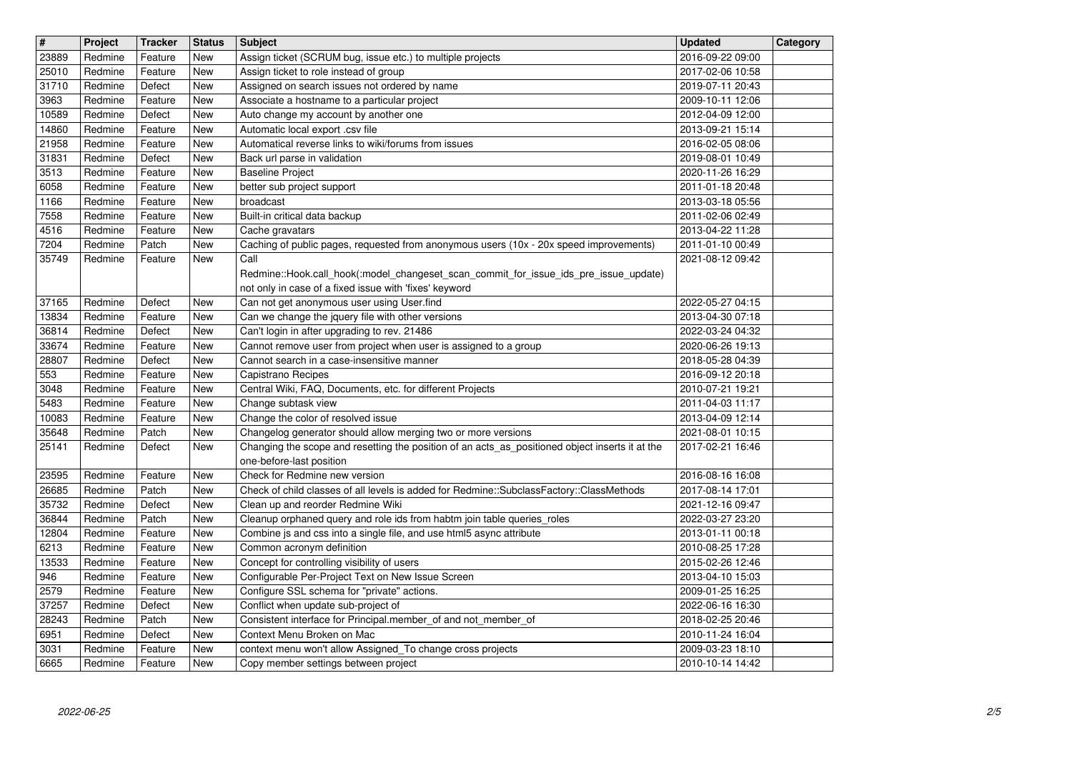| $\overline{\mathbf{H}}$   | Project            | <b>Tracker</b>     | <b>Status</b>     | <b>Subject</b>                                                                                                                                                   | <b>Updated</b>                       | Category |
|---------------------------|--------------------|--------------------|-------------------|------------------------------------------------------------------------------------------------------------------------------------------------------------------|--------------------------------------|----------|
| 23889<br>25010            | Redmine<br>Redmine | Feature<br>Feature | <b>New</b><br>New | Assign ticket (SCRUM bug, issue etc.) to multiple projects<br>Assign ticket to role instead of group                                                             | 2016-09-22 09:00<br>2017-02-06 10:58 |          |
| 31710                     | Redmine            | Defect             | New               | Assigned on search issues not ordered by name                                                                                                                    | 2019-07-11 20:43                     |          |
| 3963                      | Redmine            | Feature            | New               | Associate a hostname to a particular project                                                                                                                     | 2009-10-11 12:06                     |          |
| 10589<br>14860            | Redmine<br>Redmine | Defect<br>Feature  | New<br>New        | Auto change my account by another one<br>Automatic local export .csv file                                                                                        | 2012-04-09 12:00<br>2013-09-21 15:14 |          |
| 21958                     | Redmine            | Feature            | New               | Automatical reverse links to wiki/forums from issues                                                                                                             | 2016-02-05 08:06                     |          |
| 31831<br>$\frac{1}{3513}$ | Redmine<br>Redmine | Defect             | New               | Back url parse in validation                                                                                                                                     | 2019-08-01 10:49                     |          |
| 6058                      | Redmine            | Feature<br>Feature | New<br>New        | <b>Baseline Project</b><br>better sub project support                                                                                                            | 2020-11-26 16:29<br>2011-01-18 20:48 |          |
| 1166                      | Redmine            | Feature            | New               | broadcast                                                                                                                                                        | 2013-03-18 05:56                     |          |
| 7558<br>4516              | Redmine<br>Redmine | Feature<br>Feature | New<br>New        | Built-in critical data backup<br>Cache gravatars                                                                                                                 | 2011-02-06 02:49<br>2013-04-22 11:28 |          |
| 7204                      | Redmine            | Patch              | <b>New</b>        | Caching of public pages, requested from anonymous users (10x - 20x speed improvements)                                                                           | 2011-01-10 00:49                     |          |
| 35749                     | Redmine            | Feature            | New               | Call                                                                                                                                                             | 2021-08-12 09:42                     |          |
|                           |                    |                    |                   | Redmine::Hook.call_hook(:model_changeset_scan_commit_for_issue_ids_pre_issue_update)<br>not only in case of a fixed issue with 'fixes' keyword                   |                                      |          |
| 37165                     | Redmine            | Defect             | New               | Can not get anonymous user using User.find                                                                                                                       | 2022-05-27 04:15                     |          |
| 13834                     | Redmine            | Feature            | New               | Can we change the jquery file with other versions                                                                                                                | 2013-04-30 07:18                     |          |
| 36814<br>33674            | Redmine<br>Redmine | Defect<br>Feature  | New<br>New        | Can't login in after upgrading to rev. 21486<br>Cannot remove user from project when user is assigned to a group                                                 | 2022-03-24 04:32<br>2020-06-26 19:13 |          |
| 28807                     | Redmine            | Defect             | New               | Cannot search in a case-insensitive manner                                                                                                                       | 2018-05-28 04:39                     |          |
| 553<br>3048               | Redmine<br>Redmine | Feature<br>Feature | New<br>New        | Capistrano Recipes<br>Central Wiki, FAQ, Documents, etc. for different Projects                                                                                  | 2016-09-12 20:18<br>2010-07-21 19:21 |          |
| 5483                      | Redmine            | Feature            | New               | Change subtask view                                                                                                                                              | 2011-04-03 11:17                     |          |
| 10083                     | Redmine            | Feature            | New               | Change the color of resolved issue                                                                                                                               | 2013-04-09 12:14                     |          |
| 35648<br>25141            | Redmine<br>Redmine | Patch<br>Defect    | New<br>New        | Changelog generator should allow merging two or more versions<br>Changing the scope and resetting the position of an acts_as_positioned object inserts it at the | 2021-08-01 10:15<br>2017-02-21 16:46 |          |
|                           |                    |                    |                   | one-before-last position                                                                                                                                         |                                      |          |
| 23595                     | Redmine            | Feature            | New               | Check for Redmine new version                                                                                                                                    | 2016-08-16 16:08                     |          |
| 26685<br>35732            | Redmine<br>Redmine | Patch<br>Defect    | New<br>New        | Check of child classes of all levels is added for Redmine::SubclassFactory::ClassMethods<br>Clean up and reorder Redmine Wiki                                    | 2017-08-14 17:01<br>2021-12-16 09:47 |          |
| 36844                     | Redmine            | Patch              | <b>New</b>        | Cleanup orphaned query and role ids from habtm join table queries_roles                                                                                          | 2022-03-27 23:20                     |          |
| 12804<br>6213             | Redmine<br>Redmine | Feature<br>Feature | New<br>New        | Combine js and css into a single file, and use html5 async attribute<br>Common acronym definition                                                                | 2013-01-11 00:18<br>2010-08-25 17:28 |          |
| 13533                     | Redmine            | Feature            | New               | Concept for controlling visibility of users                                                                                                                      | 2015-02-26 12:46                     |          |
| 946                       | Redmine            | Feature            | New               | Configurable Per-Project Text on New Issue Screen                                                                                                                | 2013-04-10 15:03                     |          |
| 2579<br>37257             | Redmine<br>Redmine | Feature<br>Defect  | New<br>New        | Configure SSL schema for "private" actions.<br>Conflict when update sub-project of                                                                               | 2009-01-25 16:25<br>2022-06-16 16:30 |          |
| 28243                     | Redmine            | Patch              | New               | Consistent interface for Principal.member_of and not_member_of                                                                                                   | 2018-02-25 20:46                     |          |
| 6951                      | Redmine            | Defect             | New               | Context Menu Broken on Mac                                                                                                                                       | 2010-11-24 16:04                     |          |
| 3031<br>6665              | Redmine<br>Redmine | Feature<br>Feature | New<br>New        | context menu won't allow Assigned_To change cross projects<br>Copy member settings between project                                                               | 2009-03-23 18:10<br>2010-10-14 14:42 |          |
|                           |                    |                    |                   |                                                                                                                                                                  |                                      |          |
|                           |                    |                    |                   |                                                                                                                                                                  |                                      |          |
|                           |                    |                    |                   |                                                                                                                                                                  |                                      |          |
|                           |                    |                    |                   |                                                                                                                                                                  |                                      |          |
|                           |                    |                    |                   |                                                                                                                                                                  |                                      |          |
|                           |                    |                    |                   |                                                                                                                                                                  |                                      |          |
|                           |                    |                    |                   |                                                                                                                                                                  |                                      |          |
|                           |                    |                    |                   |                                                                                                                                                                  |                                      |          |
|                           |                    |                    |                   |                                                                                                                                                                  |                                      |          |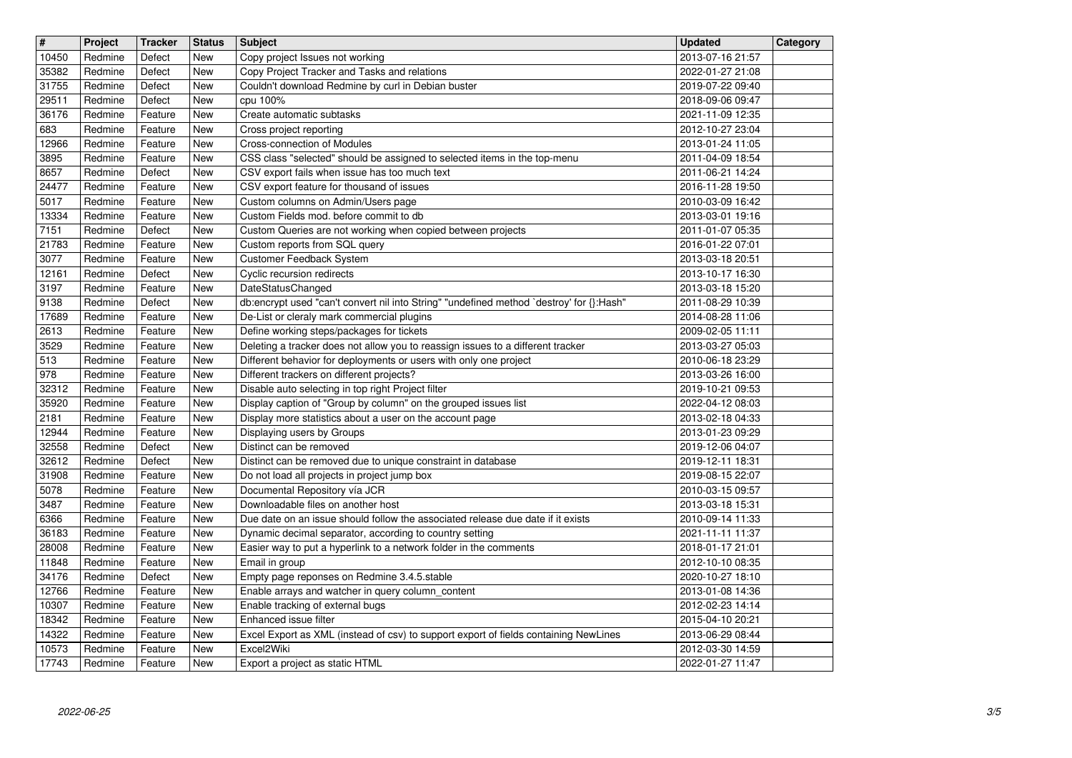| $\overline{\mathbf{H}}$ | Project            | <b>Tracker</b>     | <b>Status</b>     | <b>Subject</b>                                                                                                                                       | <b>Updated</b>                       | Category |
|-------------------------|--------------------|--------------------|-------------------|------------------------------------------------------------------------------------------------------------------------------------------------------|--------------------------------------|----------|
| 10450                   | Redmine            | Defect             | New               | Copy project Issues not working                                                                                                                      | 2013-07-16 21:57                     |          |
| 35382<br>31755          | Redmine<br>Redmine | Defect<br>Defect   | <b>New</b><br>New | Copy Project Tracker and Tasks and relations<br>Couldn't download Redmine by curl in Debian buster                                                   | 2022-01-27 21:08<br>2019-07-22 09:40 |          |
| 29511                   | Redmine            | Defect             | New               | cpu 100%                                                                                                                                             | 2018-09-06 09:47                     |          |
| 36176                   | Redmine            | Feature            | New               | Create automatic subtasks                                                                                                                            | 2021-11-09 12:35                     |          |
| 683<br>12966            | Redmine<br>Redmine | Feature<br>Feature | New<br>New        | Cross project reporting<br><b>Cross-connection of Modules</b>                                                                                        | 2012-10-27 23:04<br>2013-01-24 11:05 |          |
| 3895                    | Redmine            | Feature            | New               | CSS class "selected" should be assigned to selected items in the top-menu                                                                            | 2011-04-09 18:54                     |          |
| 8657                    | Redmine            | Defect             | New               | CSV export fails when issue has too much text                                                                                                        | 2011-06-21 14:24                     |          |
| 24477<br>5017           | Redmine<br>Redmine | Feature<br>Feature | New<br><b>New</b> | CSV export feature for thousand of issues<br>Custom columns on Admin/Users page                                                                      | 2016-11-28 19:50<br>2010-03-09 16:42 |          |
| 13334                   | Redmine            | Feature            | New               | Custom Fields mod, before commit to db                                                                                                               | 2013-03-01 19:16                     |          |
| 7151                    | Redmine            | Defect             | New               | Custom Queries are not working when copied between projects                                                                                          | 2011-01-07 05:35                     |          |
| 21783<br>3077           | Redmine<br>Redmine | Feature<br>Feature | New<br>New        | Custom reports from SQL query<br>Customer Feedback System                                                                                            | 2016-01-22 07:01<br>2013-03-18 20:51 |          |
| 12161                   | Redmine            | Defect             | <b>New</b>        | Cyclic recursion redirects                                                                                                                           | 2013-10-17 16:30                     |          |
| 3197                    | Redmine            | Feature            | New               | DateStatusChanged                                                                                                                                    | 2013-03-18 15:20                     |          |
| 9138<br>17689           | Redmine<br>Redmine | Defect<br>Feature  | New<br>New        | db:encrypt used "can't convert nil into String" "undefined method `destroy' for {}:Hash"<br>De-List or cleraly mark commercial plugins               | 2011-08-29 10:39<br>2014-08-28 11:06 |          |
| 2613                    | Redmine            | Feature            | New               | Define working steps/packages for tickets                                                                                                            | 2009-02-05 11:11                     |          |
| 3529<br>513             | Redmine<br>Redmine | Feature<br>Feature | New<br>New        | Deleting a tracker does not allow you to reassign issues to a different tracker<br>Different behavior for deployments or users with only one project | 2013-03-27 05:03<br>2010-06-18 23:29 |          |
| 978                     | Redmine            | Feature            | New               | Different trackers on different projects?                                                                                                            | 2013-03-26 16:00                     |          |
| 32312                   | Redmine            | Feature            | New               | Disable auto selecting in top right Project filter                                                                                                   | 2019-10-21 09:53                     |          |
| 35920<br>2181           | Redmine<br>Redmine | Feature<br>Feature | New<br>New        | Display caption of "Group by column" on the grouped issues list<br>Display more statistics about a user on the account page                          | 2022-04-12 08:03<br>2013-02-18 04:33 |          |
| 12944                   | Redmine            | Feature            | New               | Displaying users by Groups                                                                                                                           | 2013-01-23 09:29                     |          |
| 32558                   | Redmine            | Defect             | New               | Distinct can be removed                                                                                                                              | 2019-12-06 04:07                     |          |
| 32612<br>31908          | Redmine<br>Redmine | Defect<br>Feature  | New<br>New        | Distinct can be removed due to unique constraint in database<br>Do not load all projects in project jump box                                         | 2019-12-11 18:31<br>2019-08-15 22:07 |          |
| 5078                    | Redmine            | Feature            | New               | Documental Repository vía JCR                                                                                                                        | 2010-03-15 09:57                     |          |
| 3487                    | Redmine            | Feature            | New               | Downloadable files on another host                                                                                                                   | 2013-03-18 15:31                     |          |
| 6366                    | Redmine            | Feature            | New               | Due date on an issue should follow the associated release due date if it exists                                                                      | 2010-09-14 11:33                     |          |
| 36183<br>28008          | Redmine<br>Redmine | Feature<br>Feature | New<br>New        | Dynamic decimal separator, according to country setting<br>Easier way to put a hyperlink to a network folder in the comments                         | 2021-11-11 11:37<br>2018-01-17 21:01 |          |
| 11848                   | Redmine            | Feature            | New               | Email in group                                                                                                                                       | 2012-10-10 08:35                     |          |
| 34176                   | Redmine            | Defect             | New               | Empty page reponses on Redmine 3.4.5.stable                                                                                                          | 2020-10-27 18:10                     |          |
| 12766<br>10307          | Redmine<br>Redmine | Feature<br>Feature | New<br>New        | Enable arrays and watcher in query column_content<br>Enable tracking of external bugs                                                                | 2013-01-08 14:36<br>2012-02-23 14:14 |          |
| 18342                   | Redmine            | Feature            | New               | Enhanced issue filter                                                                                                                                | 2015-04-10 20:21                     |          |
| 14322                   | Redmine<br>Redmine | Feature            | New               | Excel Export as XML (instead of csv) to support export of fields containing NewLines<br>Excel2Wiki                                                   | 2013-06-29 08:44                     |          |
| 10573<br>17743          | Redmine            | Feature<br>Feature | New<br>New        | Export a project as static HTML                                                                                                                      | 2012-03-30 14:59<br>2022-01-27 11:47 |          |
|                         |                    |                    |                   |                                                                                                                                                      |                                      |          |
|                         |                    |                    |                   |                                                                                                                                                      |                                      |          |
|                         |                    |                    |                   |                                                                                                                                                      |                                      |          |
|                         |                    |                    |                   |                                                                                                                                                      |                                      |          |
|                         |                    |                    |                   |                                                                                                                                                      |                                      |          |
|                         |                    |                    |                   |                                                                                                                                                      |                                      |          |
|                         |                    |                    |                   |                                                                                                                                                      |                                      |          |
|                         |                    |                    |                   |                                                                                                                                                      |                                      |          |
|                         |                    |                    |                   |                                                                                                                                                      |                                      |          |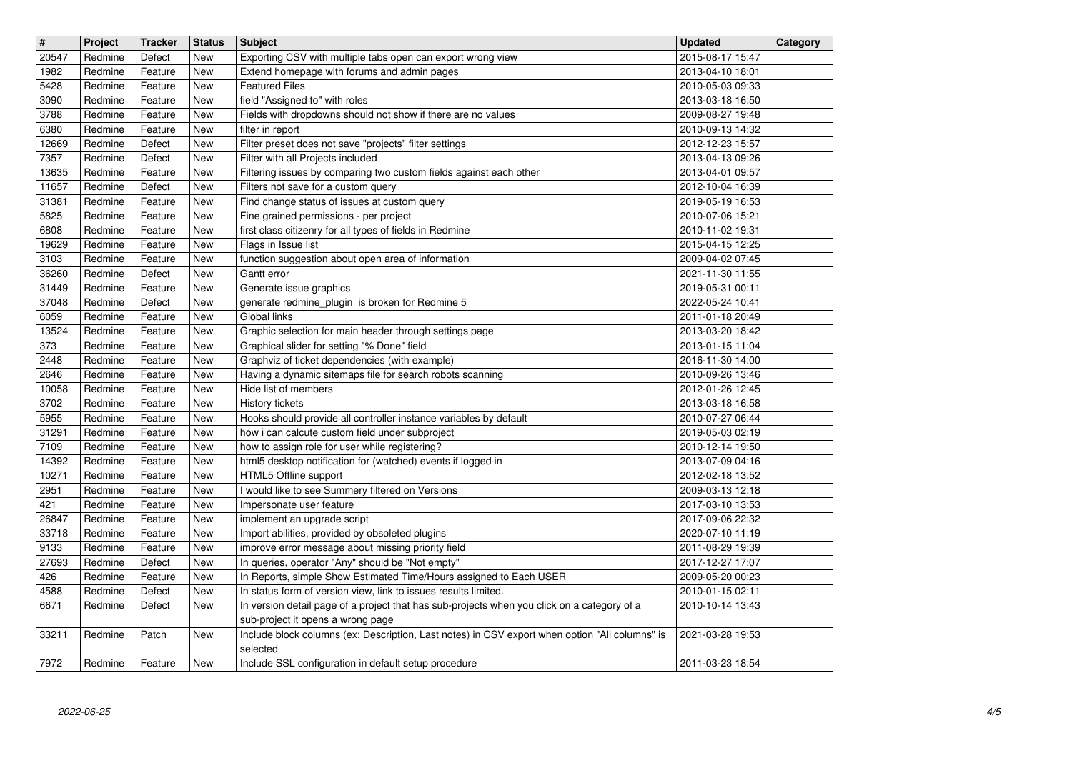| $\overline{\mathbf{H}}$ | Project            | <b>Tracker</b>     | <b>Status</b>     | <b>Subject</b>                                                                                                                                                 | <b>Updated</b>                       | Category |
|-------------------------|--------------------|--------------------|-------------------|----------------------------------------------------------------------------------------------------------------------------------------------------------------|--------------------------------------|----------|
| 20547<br>1982           | Redmine<br>Redmine | Defect<br>Feature  | <b>New</b><br>New | Exporting CSV with multiple tabs open can export wrong view<br>Extend homepage with forums and admin pages                                                     | 2015-08-17 15:47<br>2013-04-10 18:01 |          |
| 5428<br>3090            | Redmine<br>Redmine | Feature<br>Feature | New<br>New        | <b>Featured Files</b><br>field "Assigned to" with roles                                                                                                        | 2010-05-03 09:33<br>2013-03-18 16:50 |          |
| 3788                    | Redmine            | Feature            | New               | Fields with dropdowns should not show if there are no values                                                                                                   | 2009-08-27 19:48                     |          |
| 6380<br>12669           | Redmine<br>Redmine | Feature<br>Defect  | New<br>New        | filter in report<br>Filter preset does not save "projects" filter settings                                                                                     | 2010-09-13 14:32<br>2012-12-23 15:57 |          |
| 7357                    | Redmine            | Defect             | New               | Filter with all Projects included                                                                                                                              | 2013-04-13 09:26                     |          |
| 13635                   | Redmine            | Feature            | New               | Filtering issues by comparing two custom fields against each other                                                                                             | 2013-04-01 09:57                     |          |
| 11657<br>31381          | Redmine<br>Redmine | Defect<br>Feature  | New<br>New        | Filters not save for a custom query<br>Find change status of issues at custom query                                                                            | 2012-10-04 16:39<br>2019-05-19 16:53 |          |
| 5825<br>6808            | Redmine<br>Redmine | Feature            | New<br>New        | Fine grained permissions - per project<br>first class citizenry for all types of fields in Redmine                                                             | 2010-07-06 15:21<br>2010-11-02 19:31 |          |
| 19629                   | Redmine            | Feature<br>Feature | New               | Flags in Issue list                                                                                                                                            | 2015-04-15 12:25                     |          |
| 3103<br>36260           | Redmine<br>Redmine | Feature<br>Defect  | New<br>New        | function suggestion about open area of information<br>Gantt error                                                                                              | 2009-04-02 07:45<br>2021-11-30 11:55 |          |
| 31449                   | Redmine            | Feature            | New               | Generate issue graphics                                                                                                                                        | 2019-05-31 00:11                     |          |
| 37048<br>6059           | Redmine<br>Redmine | Defect<br>Feature  | New<br>New        | generate redmine_plugin is broken for Redmine 5<br>Global links                                                                                                | 2022-05-24 10:41<br>2011-01-18 20:49 |          |
| 13524                   | Redmine            | Feature            | New               | Graphic selection for main header through settings page                                                                                                        | 2013-03-20 18:42                     |          |
| 373<br>2448             | Redmine<br>Redmine | Feature<br>Feature | New<br>New        | Graphical slider for setting "% Done" field<br>Graphviz of ticket dependencies (with example)                                                                  | 2013-01-15 11:04<br>2016-11-30 14:00 |          |
| 2646                    | Redmine            | Feature            | New               | Having a dynamic sitemaps file for search robots scanning                                                                                                      | 2010-09-26 13:46                     |          |
| 10058<br>3702           | Redmine<br>Redmine | Feature<br>Feature | New<br>New        | Hide list of members<br>History tickets                                                                                                                        | 2012-01-26 12:45<br>2013-03-18 16:58 |          |
| 5955                    | Redmine            | Feature            | New               | Hooks should provide all controller instance variables by default                                                                                              | 2010-07-27 06:44                     |          |
| 31291<br>7109           | Redmine<br>Redmine | Feature<br>Feature | New<br>New        | how i can calcute custom field under subproject<br>how to assign role for user while registering?                                                              | 2019-05-03 02:19<br>2010-12-14 19:50 |          |
| 14392                   | Redmine            | Feature            | New               | html5 desktop notification for (watched) events if logged in                                                                                                   | 2013-07-09 04:16                     |          |
| 10271<br>2951           | Redmine<br>Redmine | Feature<br>Feature | New<br>New        | HTML5 Offline support<br>I would like to see Summery filtered on Versions                                                                                      | 2012-02-18 13:52<br>2009-03-13 12:18 |          |
| 421                     | Redmine            | Feature            | New               | Impersonate user feature                                                                                                                                       | 2017-03-10 13:53                     |          |
| 26847<br>33718          | Redmine<br>Redmine | Feature<br>Feature | New<br>New        | implement an upgrade script<br>Import abilities, provided by obsoleted plugins                                                                                 | 2017-09-06 22:32<br>2020-07-10 11:19 |          |
| 9133                    | Redmine            | Feature            | New               | improve error message about missing priority field                                                                                                             | 2011-08-29 19:39                     |          |
| 27693<br>426            | Redmine<br>Redmine | Defect<br>Feature  | New<br>New        | In queries, operator "Any" should be "Not empty"<br>In Reports, simple Show Estimated Time/Hours assigned to Each USER                                         | 2017-12-27 17:07<br>2009-05-20 00:23 |          |
| 4588<br>6671            | Redmine<br>Redmine | Defect<br>Defect   | New<br>New        | In status form of version view, link to issues results limited.<br>In version detail page of a project that has sub-projects when you click on a category of a | 2010-01-15 02:11<br>2010-10-14 13:43 |          |
|                         |                    |                    |                   | sub-project it opens a wrong page                                                                                                                              |                                      |          |
| 33211                   | Redmine            | Patch              | New               | Include block columns (ex: Description, Last notes) in CSV export when option "All columns" is<br>selected                                                     | 2021-03-28 19:53                     |          |
| 7972                    | Redmine            | Feature            | <b>New</b>        | Include SSL configuration in default setup procedure                                                                                                           | 2011-03-23 18:54                     |          |
|                         |                    |                    |                   |                                                                                                                                                                |                                      |          |
|                         |                    |                    |                   |                                                                                                                                                                |                                      |          |
|                         |                    |                    |                   |                                                                                                                                                                |                                      |          |
|                         |                    |                    |                   |                                                                                                                                                                |                                      |          |
|                         |                    |                    |                   |                                                                                                                                                                |                                      |          |
|                         |                    |                    |                   |                                                                                                                                                                |                                      |          |
|                         |                    |                    |                   |                                                                                                                                                                |                                      |          |
|                         |                    |                    |                   |                                                                                                                                                                |                                      |          |
|                         |                    |                    |                   |                                                                                                                                                                |                                      |          |